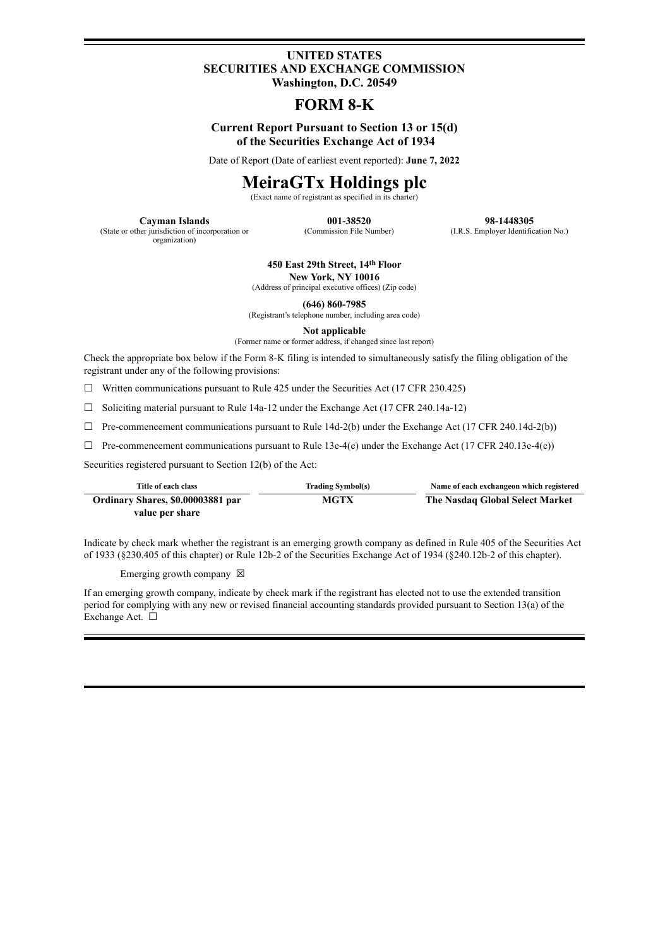### **UNITED STATES SECURITIES AND EXCHANGE COMMISSION Washington, D.C. 20549**

## **FORM 8-K**

### **Current Report Pursuant to Section 13 or 15(d) of the Securities Exchange Act of 1934**

Date of Report (Date of earliest event reported): **June 7, 2022**

# **MeiraGTx Holdings plc**

(Exact name of registrant as specified in its charter)

**Cayman Islands 001-38520 98-1448305**<br> **OUL-38520 98-1448305**<br> **Commission File Number** (ERS Employer Identific (I.R.S. Employer Identification No.)

(State or other jurisdiction of incorporation or organization)

**450 East 29th Street, 14 th Floor**

**New York, NY 10016** (Address of principal executive offices) (Zip code)

**(646) 860-7985**

(Registrant's telephone number, including area code)

**Not applicable**

(Former name or former address, if changed since last report)

Check the appropriate box below if the Form 8-K filing is intended to simultaneously satisfy the filing obligation of the registrant under any of the following provisions:

 $\Box$  Written communications pursuant to Rule 425 under the Securities Act (17 CFR 230.425)

 $\Box$  Soliciting material pursuant to Rule 14a-12 under the Exchange Act (17 CFR 240.14a-12)

 $\Box$  Pre-commencement communications pursuant to Rule 14d-2(b) under the Exchange Act (17 CFR 240.14d-2(b))

 $\Box$  Pre-commencement communications pursuant to Rule 13e-4(c) under the Exchange Act (17 CFR 240.13e-4(c))

Securities registered pursuant to Section 12(b) of the Act:

| Title of each class               | <b>Trading Symbol(s)</b> | Name of each exchangeon which registered |
|-----------------------------------|--------------------------|------------------------------------------|
| Ordinary Shares, \$0.00003881 par | <b>MGTX</b>              | The Nasdaq Global Select Market          |
| value per share                   |                          |                                          |

Indicate by check mark whether the registrant is an emerging growth company as defined in Rule 405 of the Securities Act of 1933 (§230.405 of this chapter) or Rule 12b-2 of the Securities Exchange Act of 1934 (§240.12b-2 of this chapter).

Emerging growth company  $\boxtimes$ 

If an emerging growth company, indicate by check mark if the registrant has elected not to use the extended transition period for complying with any new or revised financial accounting standards provided pursuant to Section 13(a) of the Exchange Act. □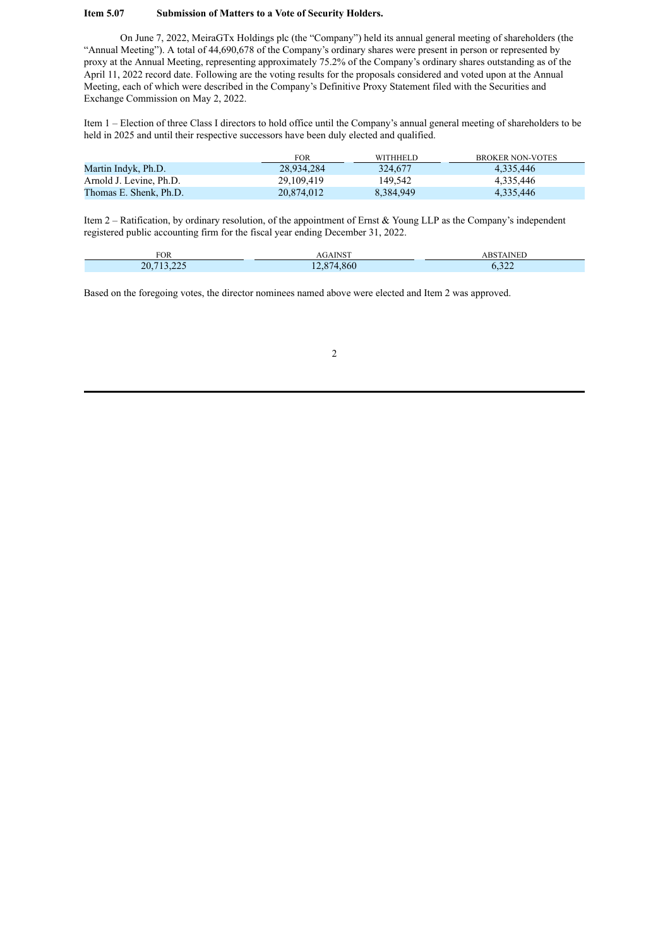#### **Item 5.07 Submission of Matters to a Vote of Security Holders.**

On June 7, 2022, MeiraGTx Holdings plc (the "Company") held its annual general meeting of shareholders (the "Annual Meeting"). A total of 44,690,678 of the Company's ordinary shares were present in person or represented by proxy at the Annual Meeting, representing approximately 75.2% of the Company's ordinary shares outstanding as of the April 11, 2022 record date. Following are the voting results for the proposals considered and voted upon at the Annual Meeting, each of which were described in the Company's Definitive Proxy Statement filed with the Securities and Exchange Commission on May 2, 2022.

Item 1 – Election of three Class I directors to hold office until the Company's annual general meeting of shareholders to be held in 2025 and until their respective successors have been duly elected and qualified.

|                         | <b>FOR</b> | <b>WITHHELD</b> | BROKER NON-VOTES |
|-------------------------|------------|-----------------|------------------|
| Martin Indyk, Ph.D.     | 28.934.284 | 324,677         | 4.335.446        |
| Arnold J. Levine, Ph.D. | 29.109.419 | 149.542         | 4.335.446        |
| Thomas E. Shenk, Ph.D.  | 20.874.012 | 8.384.949       | 4.335.446        |

Item 2 – Ratification, by ordinary resolution, of the appointment of Ernst & Young LLP as the Company's independent registered public accounting firm for the fiscal year ending December 31, 2022.

| <b>FOR</b> | <b>AGAINST</b>     | <b>ABSTAINED</b> |
|------------|--------------------|------------------|
| 20,713,225 | 874,860<br>$1 - 0$ | 222<br>0.322     |

Based on the foregoing votes, the director nominees named above were elected and Item 2 was approved.

2